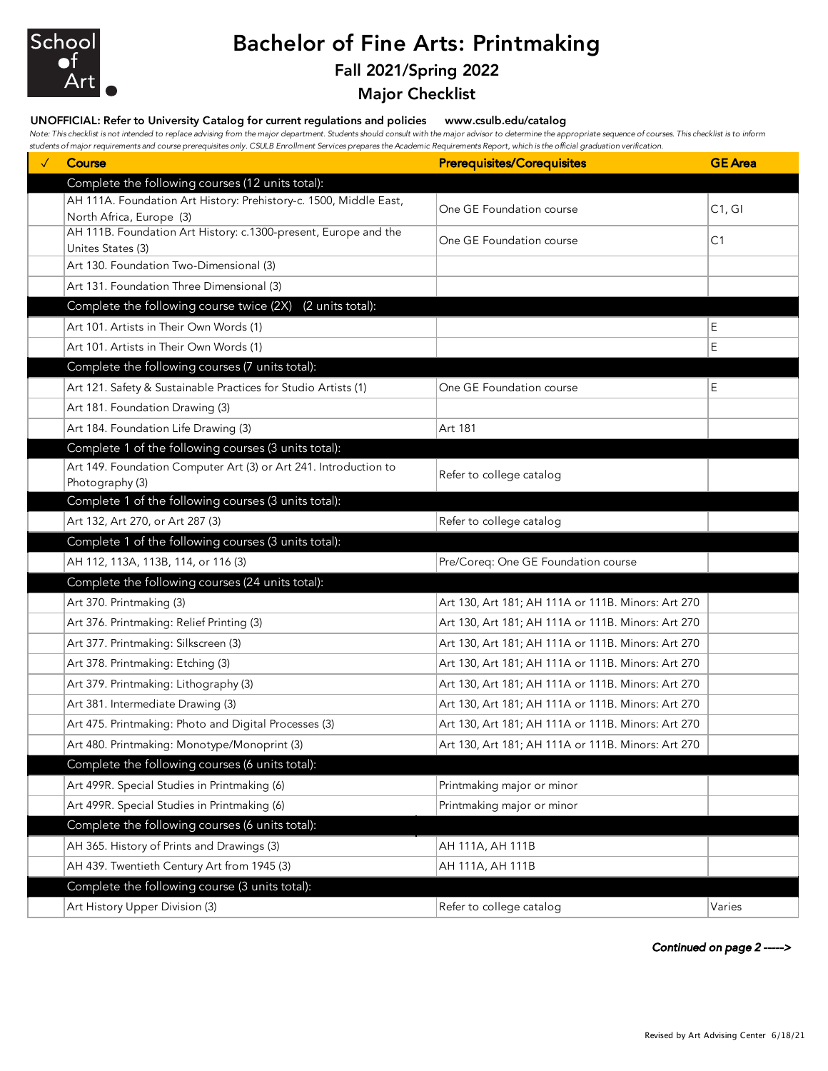

# Bachelor of Fine Arts: Printmaking

### Fall 2021/Spring 2022

Major Checklist

#### UNOFFICIAL: Refer to University Catalog for current regulations and policies www.csulb.edu/catalog

*Note: This checklist is not intended to replace advising from the major department. Students should consult with the major advisor to determine the appropriate sequence of courses. This checklist is to inform students of major requirements and course prerequisites only. CSULB Enrollment Services prepares the Academic Requirements Report, which is the official graduation verification.*

| <b>Course</b>                                                                                 | <b>Prerequisites/Corequisites</b>                  | <b>GE</b> Area |
|-----------------------------------------------------------------------------------------------|----------------------------------------------------|----------------|
| Complete the following courses (12 units total):                                              |                                                    |                |
| AH 111A. Foundation Art History: Prehistory-c. 1500, Middle East,<br>North Africa, Europe (3) | One GE Foundation course                           | C1, G1         |
| AH 111B. Foundation Art History: c.1300-present, Europe and the<br>Unites States (3)          | One GE Foundation course                           | C1             |
| Art 130. Foundation Two-Dimensional (3)                                                       |                                                    |                |
| Art 131. Foundation Three Dimensional (3)                                                     |                                                    |                |
| Complete the following course twice (2X)<br>(2 units total):                                  |                                                    |                |
| Art 101. Artists in Their Own Words (1)                                                       |                                                    | E              |
| Art 101. Artists in Their Own Words (1)                                                       |                                                    | E              |
| Complete the following courses (7 units total):                                               |                                                    |                |
| Art 121. Safety & Sustainable Practices for Studio Artists (1)                                | One GE Foundation course                           | E              |
| Art 181. Foundation Drawing (3)                                                               |                                                    |                |
| Art 184. Foundation Life Drawing (3)                                                          | Art 181                                            |                |
| Complete 1 of the following courses (3 units total):                                          |                                                    |                |
| Art 149. Foundation Computer Art (3) or Art 241. Introduction to                              | Refer to college catalog                           |                |
| Photography (3)                                                                               |                                                    |                |
| Complete 1 of the following courses (3 units total):                                          |                                                    |                |
| Art 132, Art 270, or Art 287 (3)                                                              | Refer to college catalog                           |                |
| Complete 1 of the following courses (3 units total):                                          |                                                    |                |
| AH 112, 113A, 113B, 114, or 116 (3)                                                           | Pre/Coreq: One GE Foundation course                |                |
| Complete the following courses (24 units total):                                              |                                                    |                |
| Art 370. Printmaking (3)                                                                      | Art 130, Art 181; AH 111A or 111B. Minors: Art 270 |                |
| Art 376. Printmaking: Relief Printing (3)                                                     | Art 130, Art 181; AH 111A or 111B. Minors: Art 270 |                |
| Art 377. Printmaking: Silkscreen (3)                                                          | Art 130, Art 181; AH 111A or 111B. Minors: Art 270 |                |
| Art 378. Printmaking: Etching (3)                                                             | Art 130, Art 181; AH 111A or 111B. Minors: Art 270 |                |
| Art 379. Printmaking: Lithography (3)                                                         | Art 130, Art 181; AH 111A or 111B. Minors: Art 270 |                |
| Art 381. Intermediate Drawing (3)                                                             | Art 130, Art 181; AH 111A or 111B. Minors: Art 270 |                |
| Art 475. Printmaking: Photo and Digital Processes (3)                                         | Art 130, Art 181; AH 111A or 111B. Minors: Art 270 |                |
| Art 480. Printmaking: Monotype/Monoprint (3)                                                  | Art 130, Art 181; AH 111A or 111B. Minors: Art 270 |                |
| Complete the following courses (6 units total):                                               |                                                    |                |
| Art 499R. Special Studies in Printmaking (6)                                                  | Printmaking major or minor                         |                |
| Art 499R. Special Studies in Printmaking (6)                                                  | Printmaking major or minor                         |                |
| Complete the following courses (6 units total):                                               |                                                    |                |
| AH 365. History of Prints and Drawings (3)                                                    | AH 111A, AH 111B                                   |                |
| AH 439. Twentieth Century Art from 1945 (3)                                                   | AH 111A, AH 111B                                   |                |
| Complete the following course (3 units total):                                                |                                                    |                |
| Art History Upper Division (3)                                                                | Refer to college catalog                           | Varies         |

*Continued on page 2 ----->*